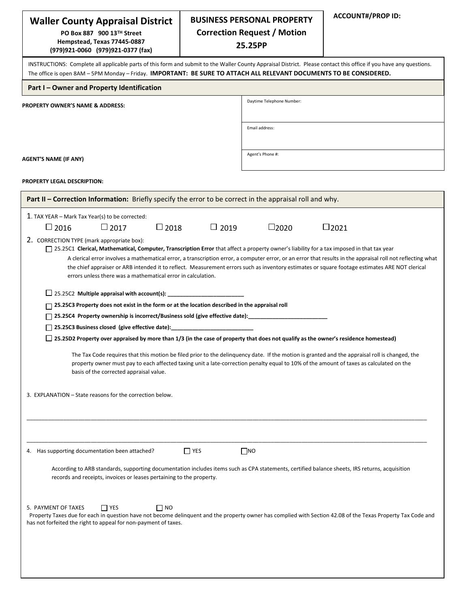| <b>Waller County Appraisal District</b>                                                                                                                                                                                                                                                                                                                                                                                                                                                                                                                                                                                                                                                                                                                                                                                                                                                                                                                                                                                                                                                                                                                                                                                                                                                                                                                                                                                                                 |             | <b>BUSINESS PERSONAL PROPERTY</b>             | <b>ACCOUNT#/PROP ID:</b> |  |  |  |  |  |
|---------------------------------------------------------------------------------------------------------------------------------------------------------------------------------------------------------------------------------------------------------------------------------------------------------------------------------------------------------------------------------------------------------------------------------------------------------------------------------------------------------------------------------------------------------------------------------------------------------------------------------------------------------------------------------------------------------------------------------------------------------------------------------------------------------------------------------------------------------------------------------------------------------------------------------------------------------------------------------------------------------------------------------------------------------------------------------------------------------------------------------------------------------------------------------------------------------------------------------------------------------------------------------------------------------------------------------------------------------------------------------------------------------------------------------------------------------|-------------|-----------------------------------------------|--------------------------|--|--|--|--|--|
| PO Box 887 900 13™ Street<br>Hempstead, Texas 77445-0887<br>(979)921-0060 (979)921-0377 (fax)                                                                                                                                                                                                                                                                                                                                                                                                                                                                                                                                                                                                                                                                                                                                                                                                                                                                                                                                                                                                                                                                                                                                                                                                                                                                                                                                                           |             | <b>Correction Request / Motion</b><br>25.25PP |                          |  |  |  |  |  |
| INSTRUCTIONS: Complete all applicable parts of this form and submit to the Waller County Appraisal District. Please contact this office if you have any questions.<br>The office is open 8AM - 5PM Monday - Friday. IMPORTANT: BE SURE TO ATTACH ALL RELEVANT DOCUMENTS TO BE CONSIDERED.                                                                                                                                                                                                                                                                                                                                                                                                                                                                                                                                                                                                                                                                                                                                                                                                                                                                                                                                                                                                                                                                                                                                                               |             |                                               |                          |  |  |  |  |  |
| Part I - Owner and Property Identification                                                                                                                                                                                                                                                                                                                                                                                                                                                                                                                                                                                                                                                                                                                                                                                                                                                                                                                                                                                                                                                                                                                                                                                                                                                                                                                                                                                                              |             |                                               |                          |  |  |  |  |  |
| <b>PROPERTY OWNER'S NAME &amp; ADDRESS:</b>                                                                                                                                                                                                                                                                                                                                                                                                                                                                                                                                                                                                                                                                                                                                                                                                                                                                                                                                                                                                                                                                                                                                                                                                                                                                                                                                                                                                             |             | Daytime Telephone Number:                     |                          |  |  |  |  |  |
|                                                                                                                                                                                                                                                                                                                                                                                                                                                                                                                                                                                                                                                                                                                                                                                                                                                                                                                                                                                                                                                                                                                                                                                                                                                                                                                                                                                                                                                         |             | Email address:                                |                          |  |  |  |  |  |
| AGENT'S NAME (IF ANY)                                                                                                                                                                                                                                                                                                                                                                                                                                                                                                                                                                                                                                                                                                                                                                                                                                                                                                                                                                                                                                                                                                                                                                                                                                                                                                                                                                                                                                   |             | Agent's Phone #:                              |                          |  |  |  |  |  |
| <b>PROPERTY LEGAL DESCRIPTION:</b>                                                                                                                                                                                                                                                                                                                                                                                                                                                                                                                                                                                                                                                                                                                                                                                                                                                                                                                                                                                                                                                                                                                                                                                                                                                                                                                                                                                                                      |             |                                               |                          |  |  |  |  |  |
| Part II - Correction Information: Briefly specify the error to be correct in the appraisal roll and why.                                                                                                                                                                                                                                                                                                                                                                                                                                                                                                                                                                                                                                                                                                                                                                                                                                                                                                                                                                                                                                                                                                                                                                                                                                                                                                                                                |             |                                               |                          |  |  |  |  |  |
| 1. TAX YEAR – Mark Tax Year(s) to be corrected:<br>$\square$ 2018<br>$\square$ 2016<br>$\Box$ 2017                                                                                                                                                                                                                                                                                                                                                                                                                                                                                                                                                                                                                                                                                                                                                                                                                                                                                                                                                                                                                                                                                                                                                                                                                                                                                                                                                      | $\Box$ 2019 | $\square$ 2020                                | $\square$ 2021           |  |  |  |  |  |
| 2. CORRECTION TYPE (mark appropriate box):<br>□ 25.25C1 Clerical, Mathematical, Computer, Transcription Error that affect a property owner's liability for a tax imposed in that tax year<br>A clerical error involves a mathematical error, a transcription error, a computer error, or an error that results in the appraisal roll not reflecting what<br>the chief appraiser or ARB intended it to reflect. Measurement errors such as inventory estimates or square footage estimates ARE NOT clerical<br>errors unless there was a mathematical error in calculation.<br>$\Box$ 25.25C2 Multiple appraisal with account(s):<br>$\Box$ 25.25C3 Property does not exist in the form or at the location described in the appraisal roll<br>□ 25.25C4 Property ownership is incorrect/Business sold (give effective date): _____________________<br>$\Box$ 25.25C3 Business closed (give effective date):<br>□ 25.25D2 Property over appraised by more than 1/3 (in the case of property that does not qualify as the owner's residence homestead)<br>The Tax Code requires that this motion be filed prior to the delinguency date. If the motion is granted and the appraisal roll is changed, the<br>property owner must pay to each affected taxing unit a late-correction penalty equal to 10% of the amount of taxes as calculated on the<br>basis of the corrected appraisal value.<br>3. EXPLANATION – State reasons for the correction below. |             |                                               |                          |  |  |  |  |  |
| 4. Has supporting documentation been attached?<br>According to ARB standards, supporting documentation includes items such as CPA statements, certified balance sheets, IRS returns, acquisition<br>records and receipts, invoices or leases pertaining to the property.                                                                                                                                                                                                                                                                                                                                                                                                                                                                                                                                                                                                                                                                                                                                                                                                                                                                                                                                                                                                                                                                                                                                                                                | $\Box$ YES  | $\square$ NO                                  |                          |  |  |  |  |  |
| $\Box$ YES<br>5. PAYMENT OF TAXES<br>$\Box$ No<br>Property Taxes due for each in question have not become delinquent and the property owner has complied with Section 42.08 of the Texas Property Tax Code and<br>has not forfeited the right to appeal for non-payment of taxes.                                                                                                                                                                                                                                                                                                                                                                                                                                                                                                                                                                                                                                                                                                                                                                                                                                                                                                                                                                                                                                                                                                                                                                       |             |                                               |                          |  |  |  |  |  |